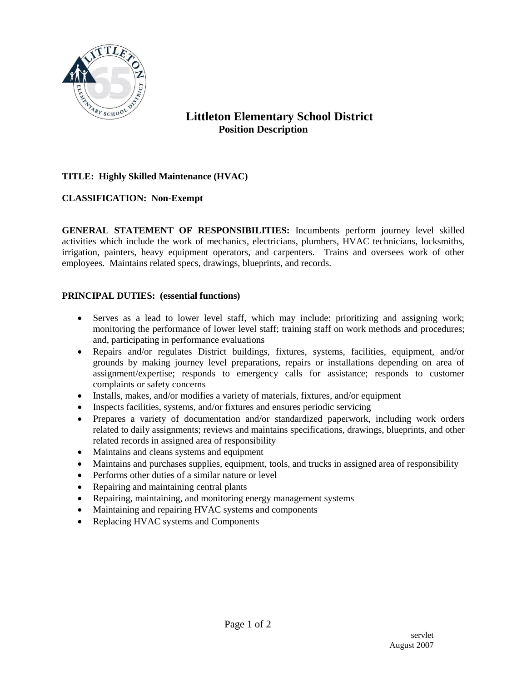

# **Littleton Elementary School District Position Description**

# **TITLE: Highly Skilled Maintenance (HVAC)**

### **CLASSIFICATION: Non-Exempt**

**GENERAL STATEMENT OF RESPONSIBILITIES:** Incumbents perform journey level skilled activities which include the work of mechanics, electricians, plumbers, HVAC technicians, locksmiths, irrigation, painters, heavy equipment operators, and carpenters. Trains and oversees work of other employees. Maintains related specs, drawings, blueprints, and records.

### **PRINCIPAL DUTIES: (essential functions)**

- Serves as a lead to lower level staff, which may include: prioritizing and assigning work; monitoring the performance of lower level staff; training staff on work methods and procedures; and, participating in performance evaluations
- Repairs and/or regulates District buildings, fixtures, systems, facilities, equipment, and/or grounds by making journey level preparations, repairs or installations depending on area of assignment/expertise; responds to emergency calls for assistance; responds to customer complaints or safety concerns
- Installs, makes, and/or modifies a variety of materials, fixtures, and/or equipment
- Inspects facilities, systems, and/or fixtures and ensures periodic servicing
- Prepares a variety of documentation and/or standardized paperwork, including work orders related to daily assignments; reviews and maintains specifications, drawings, blueprints, and other related records in assigned area of responsibility
- Maintains and cleans systems and equipment
- Maintains and purchases supplies, equipment, tools, and trucks in assigned area of responsibility
- Performs other duties of a similar nature or level
- Repairing and maintaining central plants
- Repairing, maintaining, and monitoring energy management systems
- Maintaining and repairing HVAC systems and components
- Replacing HVAC systems and Components